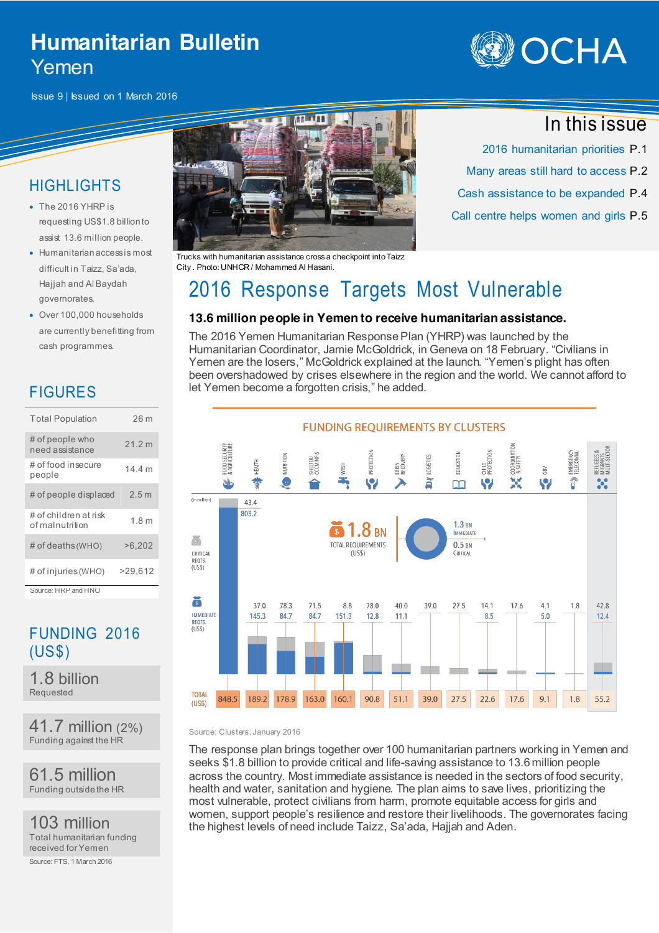# **Humanitarian Bulletin** Yemen

Issue 9 | Issued on 1 March 2016



### **HIGHLIGHTS**

- The 2016 YHRP is requesting US\$1.8 billion to assist 13.6 million people.
- Humanitarian access is most difficult in Taizz, Sa'ada, Hajjah and Al Baydah governorates.
- Over 100,000 households are currently benefitting from cash programmes.

### FIGURES

| <b>Total Population</b>                  | 26 m             |
|------------------------------------------|------------------|
| # of people who<br>need assistance       | 21.2 m           |
| # of food insecure<br>people             | 14.4 m           |
| # of people displaced                    | 2.5 <sub>m</sub> |
| # of children at risk<br>of malnutrition | 1.8 <sub>m</sub> |
| # of deaths (WHO)                        | >6,202           |
| # of injuries (WHO)                      | >29.612          |
| Source: HRP and HNO                      |                  |

### FUNDING 2016 (US\$)

1.8 billion Requested

41.7 million (2%) Funding against the HR

61.5 million Funding outside the HR

103 million Total humanitarian funding received for Yemen Source: FTS, 1 March 2016



Trucks with humanitarian assistance cross a checkpoint into Taizz City . Photo: UNHCR / Mohammed Al Hasani.

# 2016 Response Targets Most Vulnerable

### **13.6 million people in Yemen to receive humanitarian assistance.**

The 2016 Yemen Humanitarian Response Plan (YHRP) was launched by the Humanitarian Coordinator, Jamie McGoldrick, in Geneva on 18 February. "Civilians in Yemen are the losers," McGoldrick explained at the launch. "Yemen's plight has often been overshadowed by crises elsewhere in the region and the world. We cannot afford to let Yemen become a forgotten crisis," he added.



#### Source: Clusters, January 2016

The response plan brings together over 100 humanitarian partners working in Yemen and seeks \$1.8 billion to provide critical and life-saving assistance to 13.6 million people across the country. Most immediate assistance is needed in the sectors of food security, health and water, sanitation and hygiene. The plan aims to save lives, prioritizing the most vulnerable, protect civilians from harm, promote equitable access for girls and women, support people's resilience and restore their livelihoods. The governorates facing the highest levels of need include Taizz, Sa'ada, Hajjah and Aden.

## In this issue

- 2016 humanitarian priorities P.1
- Many areas still hard to access P.2
- Cash assistance to be expanded P.4
- Call centre helps women and girls P.5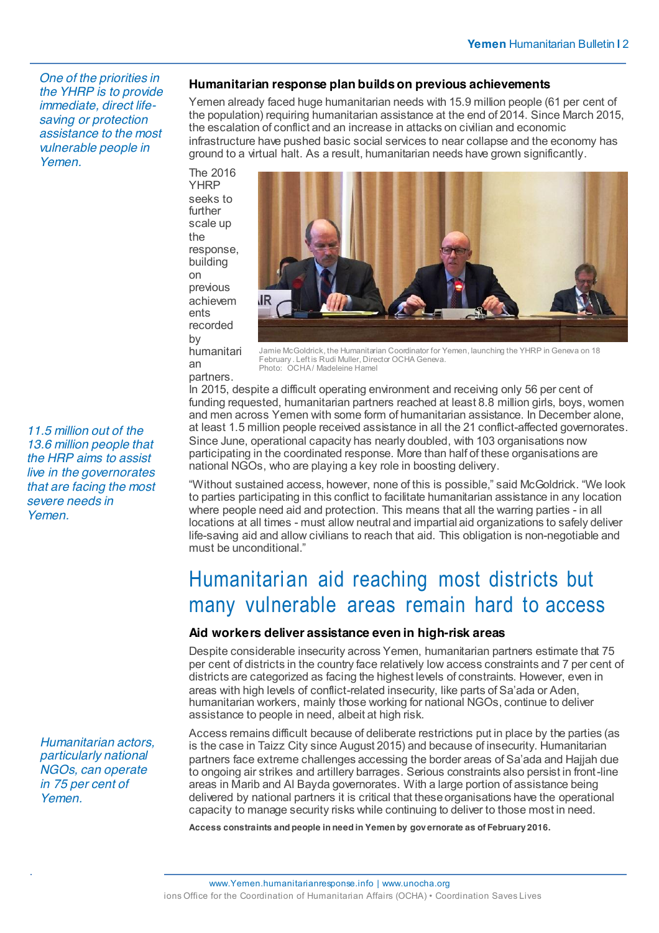*One of the priorities in the YHRP is to provide immediate, direct lifesaving or protection assistance to the most vulnerable people in Yemen.*

*11.5 million out of the 13.6 million people that the HRP aims to assist live in the governorates that are facing the most severe needs in Yemen.*

*Humanitarian actors, particularly national NGOs, can operate in 75 per cent of Yemen.*

#### **Humanitarian response plan builds on previous achievements**

Yemen already faced huge humanitarian needs with 15.9 million people (61 per cent of the population) requiring humanitarian assistance at the end of 2014. Since March 2015, the escalation of conflict and an increase in attacks on civilian and economic infrastructure have pushed basic social services to near collapse and the economy has ground to a virtual halt. As a result, humanitarian needs have grown significantly.

The 2016 **YHRP** seeks to further scale up the response, building on previous achievem ents recorded by humanitari an

partners.



Jamie McGoldrick, the Humanitarian Coordinator for Yemen, launching the YHRP in Geneva on 18 February . Left is Rudi Muller, Director OCHA Geneva. Photo: OCHA/ Madeleine Hamel

In 2015, despite a difficult operating environment and receiving only 56 per cent of funding requested, humanitarian partners reached at least 8.8 million girls, boys, women and men across Yemen with some form of humanitarian assistance. In December alone, at least 1.5 million people received assistance in all the 21 conflict-affected governorates. Since June, operational capacity has nearly doubled, with 103 organisations now participating in the coordinated response. More than half of these organisations are national NGOs, who are playing a key role in boosting delivery.

"Without sustained access, however, none of this is possible," said McGoldrick. "We look to parties participating in this conflict to facilitate humanitarian assistance in any location where people need aid and protection. This means that all the warring parties - in all locations at all times - must allow neutral and impartial aid organizations to safely deliver life-saving aid and allow civilians to reach that aid. This obligation is non-negotiable and must be unconditional."

# Humanitarian aid reaching most districts but many vulnerable areas remain hard to access

### **Aid workers deliver assistance even in high-risk areas**

Despite considerable insecurity across Yemen, humanitarian partners estimate that 75 per cent of districts in the country face relatively low access constraints and 7 per cent of districts are categorized as facing the highest levels of constraints. However, even in areas with high levels of conflict-related insecurity, like parts of Sa'ada or Aden, humanitarian workers, mainly those working for national NGOs, continue to deliver assistance to people in need, albeit at high risk.

Access remains difficult because of deliberate restrictions put in place by the parties (as is the case in Taizz City since August 2015) and because of insecurity. Humanitarian partners face extreme challenges accessing the border areas of Sa'ada and Hajjah due to ongoing air strikes and artillery barrages. Serious constraints also persist in front-line areas in Marib and Al Bayda governorates. With a large portion of assistance being delivered by national partners it is critical that these organisations have the operational capacity to manage security risks while continuing to deliver to those most in need.

**Access constraints and people in need in Yemen by gov ernorate as of February 2016.**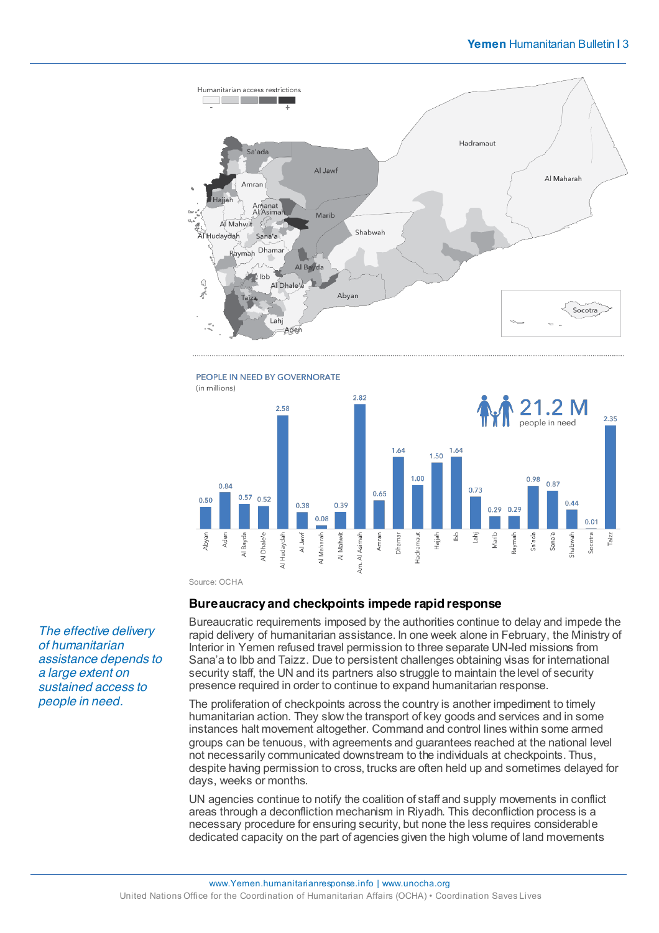



Source: OCHA

### **Bureaucracy and checkpoints impede rapid response**

Bureaucratic requirements imposed by the authorities continue to delay and impede the rapid delivery of humanitarian assistance. In one week alone in February, the Ministry of Interior in Yemen refused travel permission to three separate UN-led missions from Sana'a to Ibb and Taizz. Due to persistent challenges obtaining visas for international security staff, the UN and its partners also struggle to maintain the level of security presence required in order to continue to expand humanitarian response.

The proliferation of checkpoints across the country is another impediment to timely humanitarian action. They slow the transport of key goods and services and in some instances halt movement altogether. Command and control lines within some armed groups can be tenuous, with agreements and guarantees reached at the national level not necessarily communicated downstream to the individuals at checkpoints. Thus, despite having permission to cross, trucks are often held up and sometimes delayed for days, weeks or months.

UN agencies continue to notify the coalition of staff and supply movements in conflict areas through a deconfliction mechanism in Riyadh. This deconfliction process is a necessary procedure for ensuring security, but none the less requires considerable dedicated capacity on the part of agencies given the high volume of land movements

*The effective delivery of humanitarian assistance depends to a large extent on sustained access to people in need.*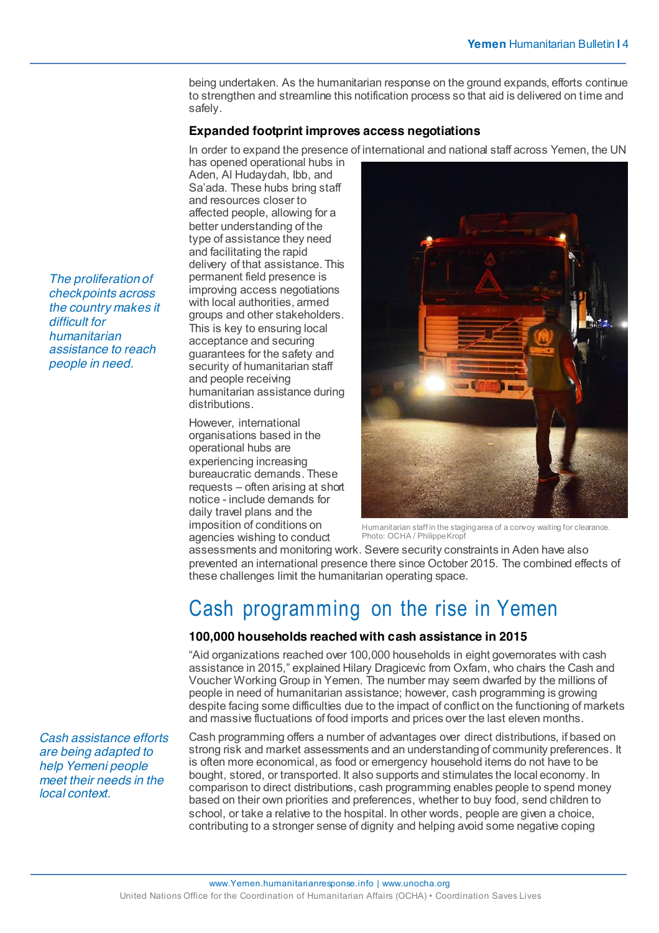being undertaken. As the humanitarian response on the ground expands, efforts continue to strengthen and streamline this notification process so that aid is delivered on time and safely.

### **Expanded footprint improves access negotiations**

In order to expand the presence of international and national staff across Yemen, the UN

has opened operational hubs in Aden, Al Hudaydah, Ibb, and Sa'ada. These hubs bring staff and resources closer to affected people, allowing for a better understanding of the type of assistance they need and facilitating the rapid delivery of that assistance. This permanent field presence is improving access negotiations with local authorities, armed groups and other stakeholders. This is key to ensuring local acceptance and securing guarantees for the safety and security of humanitarian staff and people receiving humanitarian assistance during distributions.

However, international organisations based in the operational hubs are experiencing increasing bureaucratic demands. These requests – often arising at short notice - include demands for daily travel plans and the imposition of conditions on agencies wishing to conduct



Humanitarian staff in the staging area of a convoy waiting for clearance. Photo: OCHA / Philippe Kropf

assessments and monitoring work. Severe security constraints in Aden have also prevented an international presence there since October 2015. The combined effects of these challenges limit the humanitarian operating space.

## Cash programming on the rise in Yemen

### **100,000 households reached with cash assistance in 2015**

"Aid organizations reached over 100,000 households in eight governorates with cash assistance in 2015," explained Hilary Dragicevic from Oxfam, who chairs the Cash and Voucher Working Group in Yemen. The number may seem dwarfed by the millions of people in need of humanitarian assistance; however, cash programming is growing despite facing some difficulties due to the impact of conflict on the functioning of markets and massive fluctuations of food imports and prices over the last eleven months.

Cash programming offers a number of advantages over direct distributions, if based on strong risk and market assessments and an understanding of community preferences. It is often more economical, as food or emergency household items do not have to be bought, stored, or transported. It also supports and stimulates the local economy. In comparison to direct distributions, cash programming enables people to spend money based on their own priorities and preferences, whether to buy food, send children to school, or take a relative to the hospital. In other words, people are given a choice, contributing to a stronger sense of dignity and helping avoid some negative coping

*The proliferation of checkpoints across the country makes it difficult for humanitarian assistance to reach people in need.*

*Cash assistance efforts are being adapted to help Yemeni people meet their needs in the local context.*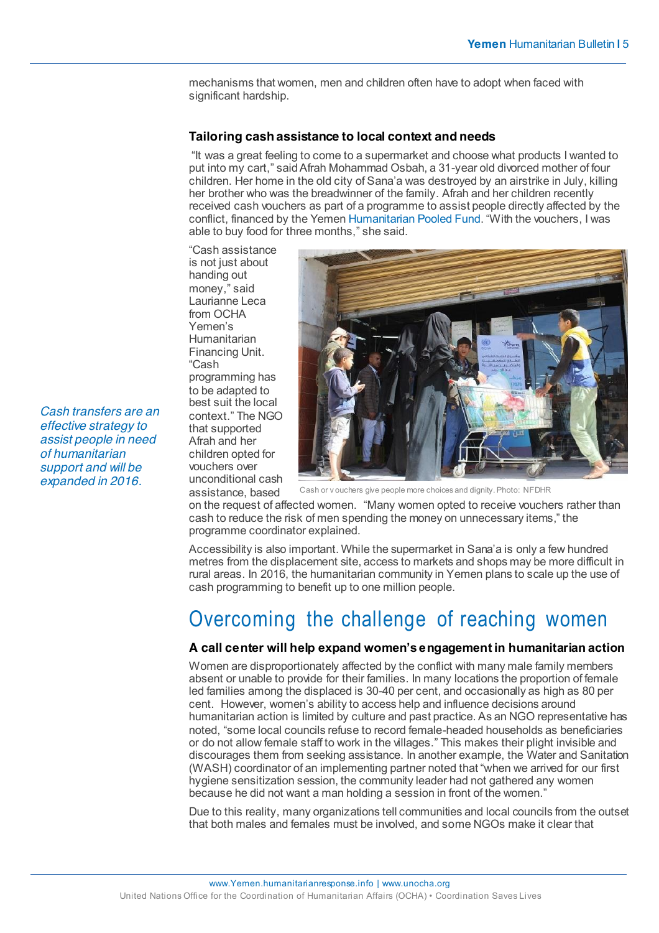mechanisms that women, men and children often have to adopt when faced with significant hardship.

### **Tailoring cash assistance to local context and needs**

"It was a great feeling to come to a supermarket and choose what products I wanted to put into my cart," said Afrah Mohammad Osbah, a 31-year old divorced mother of four children. Her home in the old city of Sana'a was destroyed by an airstrike in July, killing her brother who was the breadwinner of the family. Afrah and her children recently received cash vouchers as part of a programme to assist people directly affected by the conflict, financed by the Yemen Humanitarian Pooled Fund. "With the vouchers, I was able to buy food for three months," she said.

"Cash assistance is not just about handing out money," said Laurianne Leca from OCHA Yemen's **Humanitarian** Financing Unit. "Cash programming has to be adapted to best suit the local context." The NGO that supported Afrah and her children opted for vouchers over unconditional cash assistance, based



Cash or v ouchers give people more choices and dignity. Photo: NFDHR

on the request of affected women. "Many women opted to receive vouchers rather than cash to reduce the risk of men spending the money on unnecessary items," the programme coordinator explained.

Accessibility is also important. While the supermarket in Sana'a is only a few hundred metres from the displacement site, access to markets and shops may be more difficult in rural areas. In 2016, the humanitarian community in Yemen plans to scale up the use of cash programming to benefit up to one million people.

## Overcoming the challenge of reaching women

### **A call center will help expand women's engagement in humanitarian action**

Women are disproportionately affected by the conflict with many male family members absent or unable to provide for their families. In many locations the proportion of female led families among the displaced is 30-40 per cent, and occasionally as high as 80 per cent. However, women's ability to access help and influence decisions around humanitarian action is limited by culture and past practice. As an NGO representative has noted, "some local councils refuse to record female-headed households as beneficiaries or do not allow female staff to work in the villages." This makes their plight invisible and discourages them from seeking assistance. In another example, the Water and Sanitation (WASH) coordinator of an implementing partner noted that "when we arrived for our first hygiene sensitization session, the community leader had not gathered any women because he did not want a man holding a session in front of the women."

Due to this reality, many organizations tell communities and local councils from the outset that both males and females must be involved, and some NGOs make it clear that

*Cash transfers are an effective strategy to assist people in need of humanitarian support and will be expanded in 2016.*